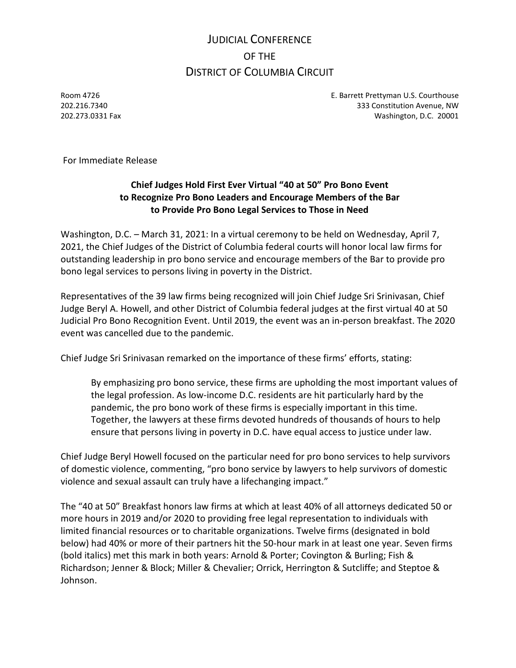## JUDICIAL CONFERENCE OF THE DISTRICT OF COLUMBIA CIRCUIT

Room 4726 E. Barrett Prettyman U.S. Courthouse 202.216.7340 333 Constitution Avenue, NW 202.273.0331 Fax Washington, D.C. 20001

For Immediate Release

## **Chief Judges Hold First Ever Virtual "40 at 50" Pro Bono Event to Recognize Pro Bono Leaders and Encourage Members of the Bar to Provide Pro Bono Legal Services to Those in Need**

Washington, D.C. – March 31, 2021: In a virtual ceremony to be held on Wednesday, April 7, 2021, the Chief Judges of the District of Columbia federal courts will honor local law firms for outstanding leadership in pro bono service and encourage members of the Bar to provide pro bono legal services to persons living in poverty in the District.

Representatives of the 39 law firms being recognized will join Chief Judge Sri Srinivasan, Chief Judge Beryl A. Howell, and other District of Columbia federal judges at the first virtual 40 at 50 Judicial Pro Bono Recognition Event. Until 2019, the event was an in-person breakfast. The 2020 event was cancelled due to the pandemic.

Chief Judge Sri Srinivasan remarked on the importance of these firms' efforts, stating:

By emphasizing pro bono service, these firms are upholding the most important values of the legal profession. As low-income D.C. residents are hit particularly hard by the pandemic, the pro bono work of these firms is especially important in this time. Together, the lawyers at these firms devoted hundreds of thousands of hours to help ensure that persons living in poverty in D.C. have equal access to justice under law.

Chief Judge Beryl Howell focused on the particular need for pro bono services to help survivors of domestic violence, commenting, "pro bono service by lawyers to help survivors of domestic violence and sexual assault can truly have a lifechanging impact."

The "40 at 50" Breakfast honors law firms at which at least 40% of all attorneys dedicated 50 or more hours in 2019 and/or 2020 to providing free legal representation to individuals with limited financial resources or to charitable organizations. Twelve firms (designated in bold below) had 40% or more of their partners hit the 50-hour mark in at least one year. Seven firms (bold italics) met this mark in both years: Arnold & Porter; Covington & Burling; Fish & Richardson; Jenner & Block; Miller & Chevalier; Orrick, Herrington & Sutcliffe; and Steptoe & Johnson.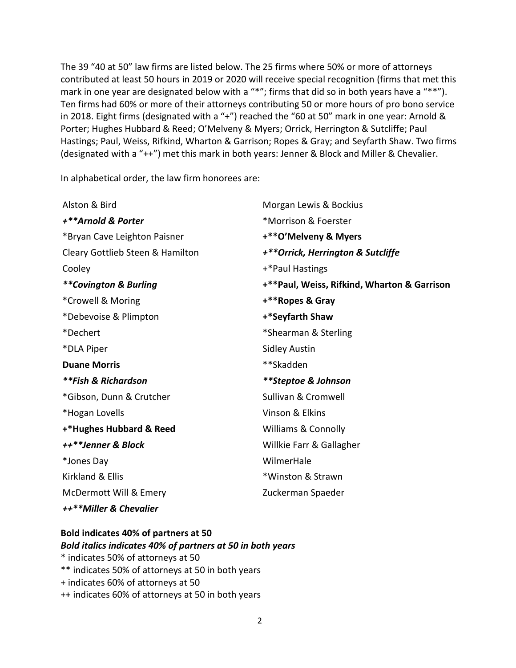The 39 "40 at 50" law firms are listed below. The 25 firms where 50% or more of attorneys contributed at least 50 hours in 2019 or 2020 will receive special recognition (firms that met this mark in one year are designated below with a "\*"; firms that did so in both years have a "\*\*"). Ten firms had 60% or more of their attorneys contributing 50 or more hours of pro bono service in 2018. Eight firms (designated with a "+") reached the "60 at 50" mark in one year: Arnold & Porter; Hughes Hubbard & Reed; O'Melveny & Myers; Orrick, Herrington & Sutcliffe; Paul Hastings; Paul, Weiss, Rifkind, Wharton & Garrison; Ropes & Gray; and Seyfarth Shaw. Two firms (designated with a "++") met this mark in both years: Jenner & Block and Miller & Chevalier.

In alphabetical order, the law firm honorees are:

| Alston & Bird                    | Morgan Lewis & Bockius                      |
|----------------------------------|---------------------------------------------|
| +**Arnold & Porter               | *Morrison & Foerster                        |
| *Bryan Cave Leighton Paisner     | +**O'Melveny & Myers                        |
| Cleary Gottlieb Steen & Hamilton | +**Orrick, Herrington & Sutcliffe           |
| Cooley                           | +*Paul Hastings                             |
| **Covington & Burling            | +**Paul, Weiss, Rifkind, Wharton & Garrison |
| *Crowell & Moring                | +**Ropes & Gray                             |
| *Debevoise & Plimpton            | +*Seyfarth Shaw                             |
| *Dechert                         | *Shearman & Sterling                        |
| *DLA Piper                       | <b>Sidley Austin</b>                        |
| <b>Duane Morris</b>              | **Skadden                                   |
| **Fish & Richardson              | **Steptoe & Johnson                         |
| *Gibson, Dunn & Crutcher         | Sullivan & Cromwell                         |
| *Hogan Lovells                   | Vinson & Elkins                             |
| +*Hughes Hubbard & Reed          | Williams & Connolly                         |
| ++**Jenner & Block               | Willkie Farr & Gallagher                    |
| *Jones Day                       | WilmerHale                                  |
| Kirkland & Ellis                 | *Winston & Strawn                           |
| McDermott Will & Emery           | Zuckerman Spaeder                           |
| ++**Miller & Chevalier           |                                             |

## **Bold indicates 40% of partners at 50** *Bold italics indicates 40% of partners at 50 in both years*

- \* indicates 50% of attorneys at 50 \*\* indicates 50% of attorneys at 50 in both years + indicates 60% of attorneys at 50
- ++ indicates 60% of attorneys at 50 in both years